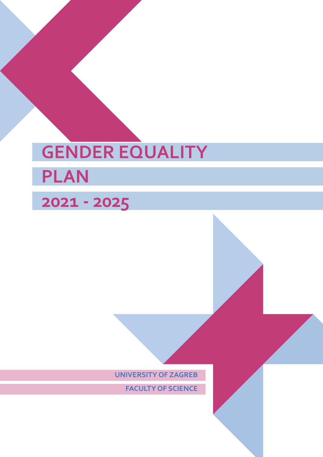# **GENDER EQUALITY PLAN**

## **2021 - 2025**

**UNIVERSITY OF ZAGREB**

**FACULTY OF SCIENCE**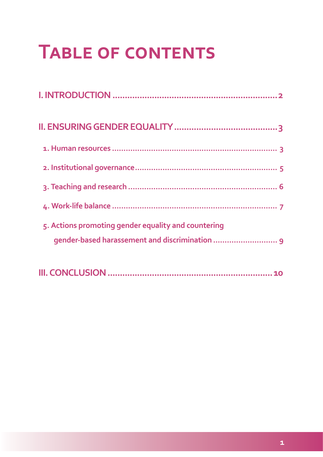## **Table of contents**

| 5. Actions promoting gender equality and countering<br>gender-based harassement and discrimination  9 |  |
|-------------------------------------------------------------------------------------------------------|--|
|                                                                                                       |  |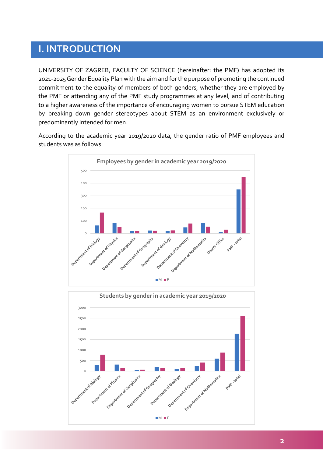### <span id="page-2-0"></span>**I. INTRODUCTION**

UNIVERSITY OF ZAGREB, FACULTY OF SCIENCE (hereinafter: the PMF) has adopted its 2021-2025 Gender Equality Plan with the aim and for the purpose of promoting the continued commitment to the equality of members of both genders, whether they are employed by the PMF or attending any of the PMF study programmes at any level, and of contributing to a higher awareness of the importance of encouraging women to pursue STEM education by breaking down gender stereotypes about STEM as an environment exclusively or predominantly intended for men.

According to the academic year 2019/2020 data, the gender ratio of PMF employees and students was as follows:



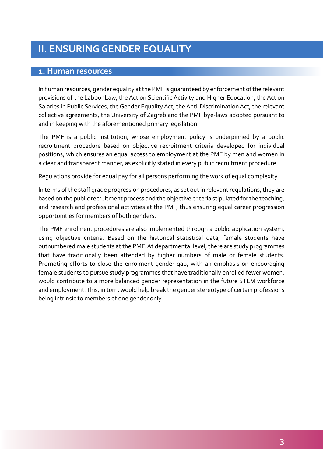## <span id="page-3-0"></span>**II. ENSURING GENDER EQUALITY**

#### **1. Human resources**

In human resources, gender equality at the PMF is guaranteed by enforcement of the relevant provisions of the Labour Law, the Act on Scientific Activity and Higher Education, the Act on Salaries in Public Services, the Gender Equality Act, the Anti-Discrimination Act, the relevant collective agreements, the University of Zagreb and the PMF bye-laws adopted pursuant to and in keeping with the aforementioned primary legislation.

The PMF is a public institution, whose employment policy is underpinned by a public recruitment procedure based on objective recruitment criteria developed for individual positions, which ensures an equal access to employment at the PMF by men and women in a clear and transparent manner, as explicitly stated in every public recruitment procedure.

Regulations provide for equal pay for all persons performing the work of equal complexity.

In terms of the staff grade progression procedures, as set out in relevant regulations, they are based on the public recruitment process and the objective criteria stipulated for the teaching, and research and professional activities at the PMF, thus ensuring equal career progression opportunities for members of both genders.

The PMF enrolment procedures are also implemented through a public application system, using objective criteria. Based on the historical statistical data, female students have outnumbered male students at the PMF. At departmental level, there are study programmes that have traditionally been attended by higher numbers of male or female students. Promoting efforts to close the enrolment gender gap, with an emphasis on encouraging female students to pursue study programmes that have traditionally enrolled fewer women, would contribute to a more balanced gender representation in the future STEM workforce and employment. This, in turn, would help break the gender stereotype of certain professions being intrinsic to members of one gender only.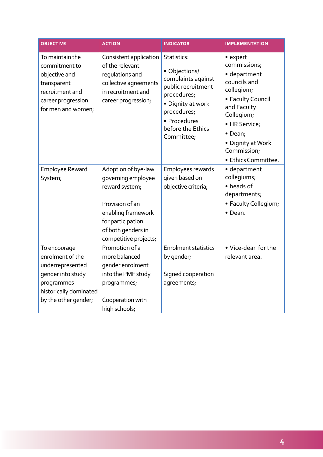| <b>OBJECTIVE</b>                                                                                                                          | <b>ACTION</b>                                                                                                                                                            | <b>INDICATOR</b>                                                                                                                                                               | <b>IMPLEMENTATION</b>                                                                                                                                                                                           |
|-------------------------------------------------------------------------------------------------------------------------------------------|--------------------------------------------------------------------------------------------------------------------------------------------------------------------------|--------------------------------------------------------------------------------------------------------------------------------------------------------------------------------|-----------------------------------------------------------------------------------------------------------------------------------------------------------------------------------------------------------------|
| To maintain the<br>commitment to<br>objective and<br>transparent<br>recruitment and<br>career progression<br>for men and women;           | Consistent application<br>of the relevant<br>regulations and<br>collective agreements<br>in recruitment and<br>career progression;                                       | Statistics:<br>• Objections/<br>complaints against<br>public recruitment<br>procedures;<br>• Dignity at work<br>procedures;<br>· Procedures<br>before the Ethics<br>Committee; | • expert<br>commissions;<br>· department<br>councils and<br>collegium;<br>• Faculty Council<br>and Faculty<br>Collegium;<br>· HR Service;<br>• Dean;<br>• Dignity at Work<br>Commission;<br>· Ethics Committee. |
| <b>Employee Reward</b><br>System;                                                                                                         | Adoption of bye-law<br>governing employee<br>reward system;<br>Provision of an<br>enabling framework<br>for participation<br>of both genders in<br>competitive projects; | Employees rewards<br>given based on<br>objective criteria;                                                                                                                     | • department<br>collegiums;<br>• heads of<br>departments;<br>· Faculty Collegium;<br>• Dean.                                                                                                                    |
| To encourage<br>enrolment of the<br>underrepresented<br>gender into study<br>programmes<br>historically dominated<br>by the other gender; | Promotion of a<br>more balanced<br>gender enrolment<br>into the PMF study<br>programmes;<br>Cooperation with<br>high schools;                                            | <b>Enrolment statistics</b><br>by gender;<br>Signed cooperation<br>agreements;                                                                                                 | • Vice-dean for the<br>relevant area.                                                                                                                                                                           |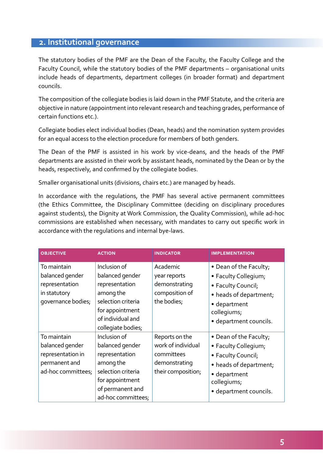#### <span id="page-5-0"></span>**2. Institutional governance**

The statutory bodies of the PMF are the Dean of the Faculty, the Faculty College and the Faculty Council, while the statutory bodies of the PMF departments – organisational units include heads of departments, department colleges (in broader format) and department councils.

The composition of the collegiate bodies is laid down in the PMF Statute, and the criteria are objective in nature (appointment into relevant research and teaching grades, performance of certain functions etc.).

Collegiate bodies elect individual bodies (Dean, heads) and the nomination system provides for an equal access to the election procedure for members of both genders.

The Dean of the PMF is assisted in his work by vice-deans, and the heads of the PMF departments are assisted in their work by assistant heads, nominated by the Dean or by the heads, respectively, and confirmed by the collegiate bodies.

Smaller organisational units (divisions, chairs etc.) are managed by heads.

In accordance with the regulations, the PMF has several active permanent committees (the Ethics Committee, the Disciplinary Committee (deciding on disciplinary procedures against students), the Dignity at Work Commission, the Quality Commission), while ad-hoc commissions are established when necessary, with mandates to carry out specific work in accordance with the regulations and internal bye-laws.

| <b>OBJECTIVE</b>                                                                           | <b>ACTION</b>                                                                                                                                      | <b>INDICATOR</b>                                                                          | <b>IMPLEMENTATION</b>                                                                                                                                   |
|--------------------------------------------------------------------------------------------|----------------------------------------------------------------------------------------------------------------------------------------------------|-------------------------------------------------------------------------------------------|---------------------------------------------------------------------------------------------------------------------------------------------------------|
| To maintain<br>balanced gender<br>representation<br>in statutory<br>governance bodies;     | Inclusion of<br>balanced gender<br>representation<br>among the<br>selection criteria<br>for appointment<br>of individual and<br>collegiate bodies; | Academic<br>year reports<br>demonstrating<br>composition of<br>the bodies;                | • Dean of the Faculty;<br>• Faculty Collegium;<br>• Faculty Council;<br>• heads of department;<br>• department<br>collegiums;<br>· department councils. |
| To maintain<br>balanced gender<br>representation in<br>permanent and<br>ad-hoc committees; | Inclusion of<br>balanced gender<br>representation<br>among the<br>selection criteria<br>for appointment<br>of permanent and<br>ad-hoc committees;  | Reports on the<br>work of individual<br>committees<br>demonstrating<br>their composition; | • Dean of the Faculty;<br>• Faculty Collegium;<br>• Faculty Council;<br>• heads of department;<br>• department<br>collegiums;<br>· department councils. |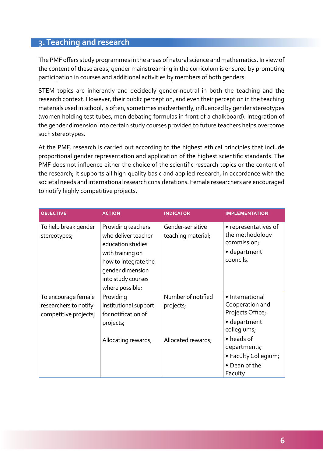#### <span id="page-6-0"></span>**3. Teaching and research**

The PMF offers study programmes in the areas of natural science and mathematics. In view of the content of these areas, gender mainstreaming in the curriculum is ensured by promoting participation in courses and additional activities by members of both genders.

STEM topics are inherently and decidedly gender-neutral in both the teaching and the research context. However, their public perception, and even their perception in the teaching materials used in school, is often, sometimes inadvertently, influenced by gender stereotypes (women holding test tubes, men debating formulas in front of a chalkboard). Integration of the gender dimension into certain study courses provided to future teachers helps overcome such stereotypes.

At the PMF, research is carried out according to the highest ethical principles that include proportional gender representation and application of the highest scientific standards. The PMF does not influence either the choice of the scientific research topics or the content of the research; it supports all high-quality basic and applied research, in accordance with the societal needs and international research considerations. Female researchers are encouraged to notify highly competitive projects.

| <b>OBJECTIVE</b>                                                      | <b>ACTION</b>                                                                                                                                                           | <b>INDICATOR</b>                       | <b>IMPLEMENTATION</b>                                                                 |
|-----------------------------------------------------------------------|-------------------------------------------------------------------------------------------------------------------------------------------------------------------------|----------------------------------------|---------------------------------------------------------------------------------------|
| To help break gender<br>stereotypes;                                  | Providing teachers<br>who deliver teacher<br>education studies<br>with training on<br>how to integrate the<br>gender dimension<br>into study courses<br>where possible; | Gender-sensitive<br>teaching material; | • representatives of<br>the methodology<br>commission;<br>· department<br>councils.   |
| To encourage female<br>researchers to notify<br>competitive projects; | Providing<br>institutional support<br>for notification of<br>projects;                                                                                                  | Number of notified<br>projects;        | • International<br>Cooperation and<br>Projects Office;<br>· department<br>collegiums; |
|                                                                       | Allocating rewards;                                                                                                                                                     | Allocated rewards;                     | • heads of<br>departments;<br>• Faculty Collegium;<br>• Dean of the<br>Faculty.       |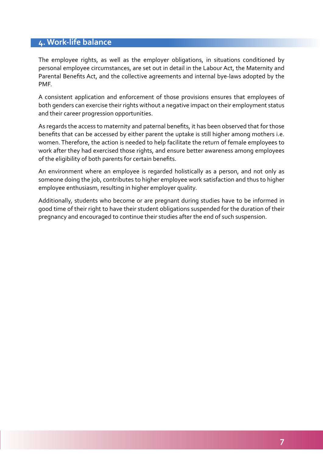#### <span id="page-7-0"></span>**4. Work-life balance**

The employee rights, as well as the employer obligations, in situations conditioned by personal employee circumstances, are set out in detail in the Labour Act, the Maternity and Parental Benefits Act, and the collective agreements and internal bye-laws adopted by the PMF.

A consistent application and enforcement of those provisions ensures that employees of both genders can exercise their rights without a negative impact on their employment status and their career progression opportunities.

As regards the access to maternity and paternal benefits, it has been observed that for those benefits that can be accessed by either parent the uptake is still higher among mothers i.e. women. Therefore, the action is needed to help facilitate the return of female employees to work after they had exercised those rights, and ensure better awareness among employees of the eligibility of both parents for certain benefits.

An environment where an employee is regarded holistically as a person, and not only as someone doing the job, contributes to higher employee work satisfaction and thus to higher employee enthusiasm, resulting in higher employer quality.

Additionally, students who become or are pregnant during studies have to be informed in good time of their right to have their student obligations suspended for the duration of their pregnancy and encouraged to continue their studies after the end of such suspension.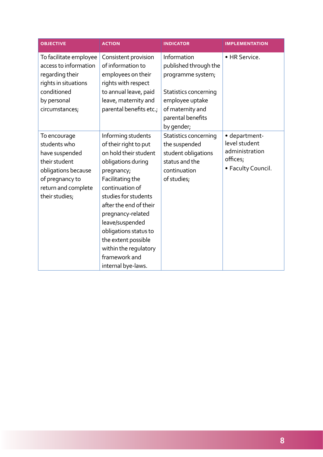| <b>OBJECTIVE</b>                                                                                                                                   | <b>ACTION</b>                                                                                                                                                                                                                                                                                                                                             | <b>INDICATOR</b>                                                                                                                                             | <b>IMPLEMENTATION</b>                                                              |
|----------------------------------------------------------------------------------------------------------------------------------------------------|-----------------------------------------------------------------------------------------------------------------------------------------------------------------------------------------------------------------------------------------------------------------------------------------------------------------------------------------------------------|--------------------------------------------------------------------------------------------------------------------------------------------------------------|------------------------------------------------------------------------------------|
| To facilitate employee<br>access to information<br>regarding their<br>rights in situations<br>conditioned<br>by personal<br>circumstances;         | Consistent provision<br>of information to<br>employees on their<br>rights with respect<br>to annual leave, paid<br>leave, maternity and<br>parental benefits etc.;                                                                                                                                                                                        | Information<br>published through the<br>programme system;<br>Statistics concerning<br>employee uptake<br>of maternity and<br>parental benefits<br>by gender; | • HR Service.                                                                      |
| To encourage<br>students who<br>have suspended<br>their student<br>obligations because<br>of pregnancy to<br>return and complete<br>their studies; | Informing students<br>of their right to put<br>on hold their student<br>obligations during<br>pregnancy;<br>Facilitating the<br>continuation of<br>studies for students<br>after the end of their<br>pregnancy-related<br>leave/suspended<br>obligations status to<br>the extent possible<br>within the regulatory<br>framework and<br>internal bye-laws. | Statistics concerning<br>the suspended<br>student obligations<br>status and the<br>continuation<br>of studies;                                               | · department-<br>level student<br>administration<br>offices;<br>• Faculty Council. |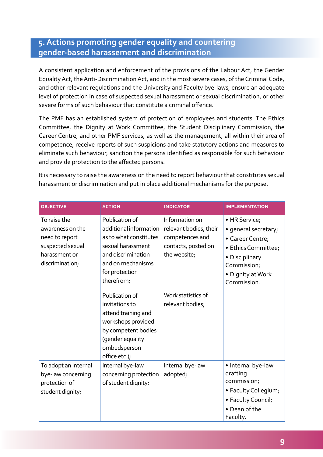#### <span id="page-9-0"></span>**5. Actions promoting gender equality and countering gender-based harassement and discrimination**

A consistent application and enforcement of the provisions of the Labour Act, the Gender Equality Act, the Anti-Discrimination Act, and in the most severe cases, of the Criminal Code, and other relevant regulations and the University and Faculty bye-laws, ensure an adequate level of protection in case of suspected sexual harassment or sexual discrimination, or other severe forms of such behaviour that constitute a criminal offence.

The PMF has an established system of protection of employees and students. The Ethics Committee, the Dignity at Work Committee, the Student Disciplinary Commission, the Career Centre, and other PMF services, as well as the management, all within their area of competence, receive reports of such suspicions and take statutory actions and measures to eliminate such behaviour, sanction the persons identified as responsible for such behaviour and provide protection to the affected persons.

It is necessary to raise the awareness on the need to report behaviour that constitutes sexual harassment or discrimination and put in place additional mechanisms for the purpose.

| <b>OBJECTIVE</b>                                                                                           | <b>ACTION</b>                                                                                                                                                      | <b>INDICATOR</b>                                                                                   | <b>IMPLEMENTATION</b>                                                                                                                                 |
|------------------------------------------------------------------------------------------------------------|--------------------------------------------------------------------------------------------------------------------------------------------------------------------|----------------------------------------------------------------------------------------------------|-------------------------------------------------------------------------------------------------------------------------------------------------------|
| To raise the<br>awareness on the<br>need to report<br>suspected sexual<br>harassment or<br>discrimination; | Publication of<br>additional information<br>as to what constitutes<br>sexual harassment<br>and discrimination<br>and on mechanisms<br>for protection<br>therefrom; | Information on<br>relevant bodies, their<br>competences and<br>contacts, posted on<br>the website; | • HR Service;<br>· general secretary;<br>• Career Centre;<br>• Ethics Committee;<br>• Disciplinary<br>Commission;<br>• Dignity at Work<br>Commission. |
|                                                                                                            | Publication of<br>invitations to<br>attend training and<br>workshops provided<br>by competent bodies<br>(gender equality<br>ombudsperson<br>office etc.);          | Work statistics of<br>relevant bodies;                                                             |                                                                                                                                                       |
| To adopt an internal<br>bye-law concerning<br>protection of<br>student dignity;                            | Internal bye-law<br>concerning protection<br>of student dignity;                                                                                                   | Internal bye-law<br>adopted;                                                                       | · Internal bye-law<br>drafting<br>commission;<br>• Faculty Collegium;<br>• Faculty Council;<br>• Dean of the<br>Faculty.                              |